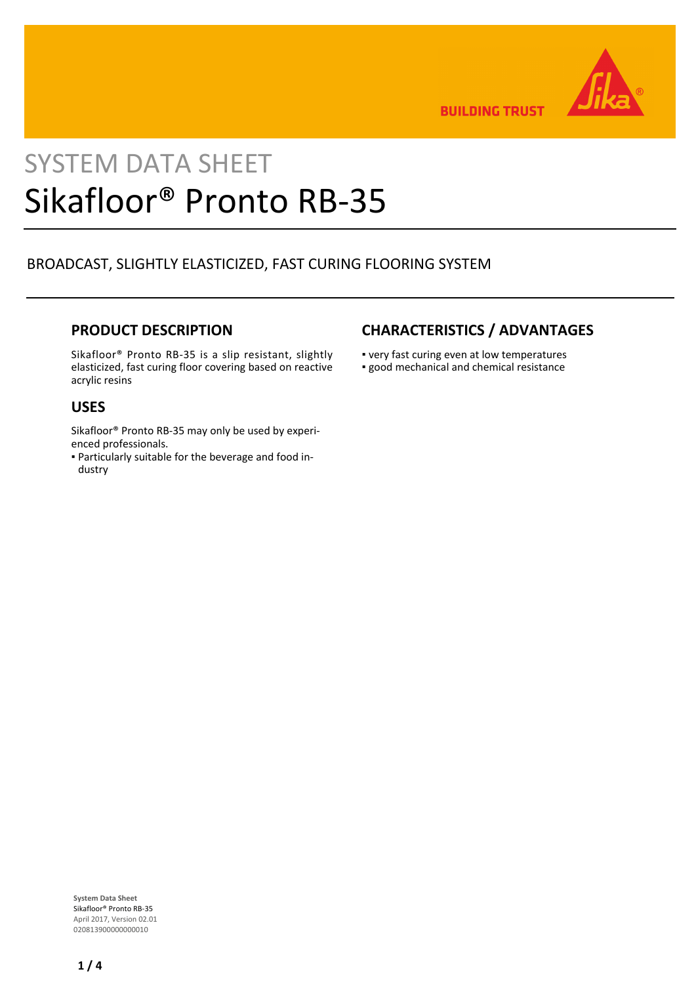

**BUILDING TRUST** 

# SYSTEM DATA SHEET Sikafloor® Pronto RB-35

## BROADCAST, SLIGHTLY ELASTICIZED, FAST CURING FLOORING SYSTEM

### **PRODUCT DESCRIPTION**

Sikafloor® Pronto RB-35 is a slip resistant, slightly elasticized, fast curing floor covering based on reactive acrylic resins

#### **USES**

Sikafloor® Pronto RB-35 may only be used by experienced professionals.

Particularly suitable for the beverage and food in-▪ dustry

## **CHARACTERISTICS / ADVANTAGES**

- very fast curing even at low temperatures
- good mechanical and chemical resistance

**System Data Sheet** Sikafloor® Pronto RB-35 April 2017, Version 02.01 020813900000000010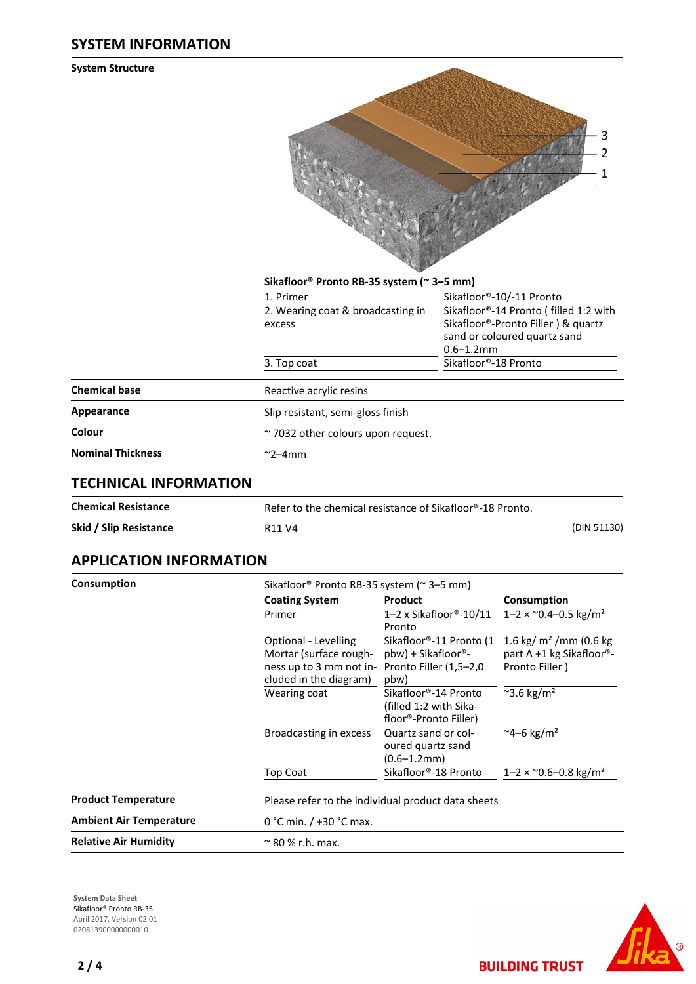#### **SYSTEM INFORMATION**

**System Structure**

| 3<br>2         |
|----------------|
| $\overline{1}$ |
|                |
|                |
|                |
|                |

|                          | 1. Primer                               | Sikafloor®-10/-11 Pronto                       |
|--------------------------|-----------------------------------------|------------------------------------------------|
|                          | 2. Wearing coat & broadcasting in       | Sikafloor®-14 Pronto (filled 1:2 with          |
|                          | excess                                  | Sikafloor®-Pronto Filler) & quartz             |
|                          |                                         | sand or coloured quartz sand<br>$0.6 - 1.2$ mm |
|                          | 3. Top coat                             | Sikafloor®-18 Pronto                           |
| <b>Chemical base</b>     | Reactive acrylic resins                 |                                                |
| Appearance               | Slip resistant, semi-gloss finish       |                                                |
| Colour                   | $\sim$ 7032 other colours upon request. |                                                |
| <b>Nominal Thickness</b> | $\sim$ 2–4mm                            |                                                |
|                          |                                         |                                                |

**Sikafloor® Pronto RB-35 system (~ 3–5 mm)**

## **TECHNICAL INFORMATION**

| <b>Chemical Resistance</b> | Refer to the chemical resistance of Sikafloor®-18 Pronto. |             |
|----------------------------|-----------------------------------------------------------|-------------|
| Skid / Slip Resistance     | R <sub>11</sub> V <sub>4</sub>                            | (DIN 51130) |

### **APPLICATION INFORMATION**

| Consumption                  |                                                                                                                                                                                 | Sikafloor <sup>®</sup> Pronto RB-35 system ( $\approx$ 3–5 mm)                                                                                                                              |                                                                                                                                                                                                            |                            |                      |                                                    |
|------------------------------|---------------------------------------------------------------------------------------------------------------------------------------------------------------------------------|---------------------------------------------------------------------------------------------------------------------------------------------------------------------------------------------|------------------------------------------------------------------------------------------------------------------------------------------------------------------------------------------------------------|----------------------------|----------------------|----------------------------------------------------|
|                              | <b>Coating System</b>                                                                                                                                                           | Product                                                                                                                                                                                     | Consumption<br>$1 - 2 \times 0.4 - 0.5$ kg/m <sup>2</sup><br>1.6 kg/ $m2$ /mm (0.6 kg<br>part A +1 kg Sikafloor®-<br>Pronto Filler)<br>$\approx$ 3.6 kg/m <sup>2</sup><br>$~^{\sim}$ 4–6 kg/m <sup>2</sup> |                            |                      |                                                    |
|                              | Primer<br>Optional - Levelling<br>Mortar (surface rough-<br>ness up to 3 mm not in- Pronto Filler (1,5-2,0)<br>cluded in the diagram)<br>Wearing coat<br>Broadcasting in excess | $1-2 \times$ Sikafloor®-10/11<br>Pronto                                                                                                                                                     |                                                                                                                                                                                                            |                            |                      |                                                    |
|                              |                                                                                                                                                                                 | Sikafloor®-11 Pronto (1<br>pbw) + Sikafloor®-<br>pbw)<br>Sikafloor®-14 Pronto<br>(filled 1:2 with Sika-<br>floor®-Pronto Filler)<br>Quartz sand or col-<br>oured quartz sand<br>(0.6–1.2mm) |                                                                                                                                                                                                            |                            |                      |                                                    |
|                              |                                                                                                                                                                                 |                                                                                                                                                                                             |                                                                                                                                                                                                            | Top Coat                   | Sikafloor®-18 Pronto | $1 - 2 \times 0.6 - 0.8$ kg/m <sup>2</sup>         |
|                              |                                                                                                                                                                                 |                                                                                                                                                                                             |                                                                                                                                                                                                            | <b>Product Temperature</b> |                      | Please refer to the individual product data sheets |
|                              | <b>Ambient Air Temperature</b>                                                                                                                                                  | 0 °C min. $/$ +30 °C max.                                                                                                                                                                   |                                                                                                                                                                                                            |                            |                      |                                                    |
| <b>Relative Air Humidity</b> | $\approx$ 80 % r.h. max.                                                                                                                                                        |                                                                                                                                                                                             |                                                                                                                                                                                                            |                            |                      |                                                    |

**System Data Sheet** Sikafloor® Pronto RB-35 April 2017, Version 02.01 0208139000000000010



**BUILDING TRUST**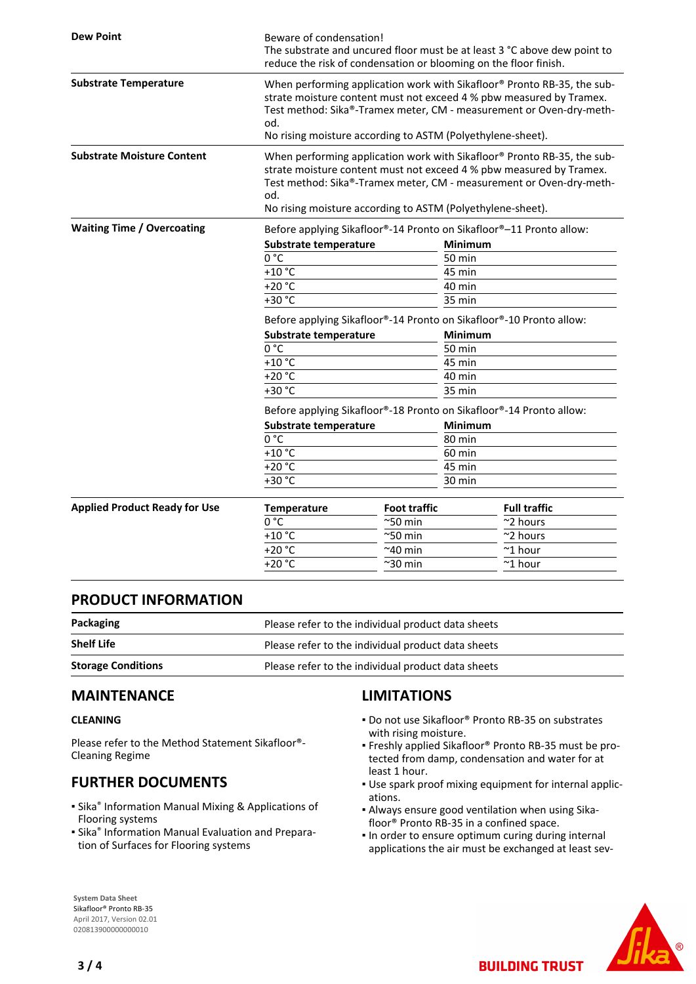| <b>Dew Point</b>                     | Beware of condensation!<br>The substrate and uncured floor must be at least 3 °C above dew point to<br>reduce the risk of condensation or blooming on the floor finish.                                                                                                                    |                                                                     |                                                                                                                                                                                                                       |  |
|--------------------------------------|--------------------------------------------------------------------------------------------------------------------------------------------------------------------------------------------------------------------------------------------------------------------------------------------|---------------------------------------------------------------------|-----------------------------------------------------------------------------------------------------------------------------------------------------------------------------------------------------------------------|--|
| <b>Substrate Temperature</b>         | When performing application work with Sikafloor® Pronto RB-35, the sub-<br>strate moisture content must not exceed 4 % pbw measured by Tramex.<br>Test method: Sika®-Tramex meter, CM - measurement or Oven-dry-meth-<br>od.<br>No rising moisture according to ASTM (Polyethylene-sheet). |                                                                     |                                                                                                                                                                                                                       |  |
| <b>Substrate Moisture Content</b>    | od.                                                                                                                                                                                                                                                                                        | No rising moisture according to ASTM (Polyethylene-sheet).          | When performing application work with Sikafloor® Pronto RB-35, the sub-<br>strate moisture content must not exceed 4 % pbw measured by Tramex.<br>Test method: Sika®-Tramex meter, CM - measurement or Oven-dry-meth- |  |
| <b>Waiting Time / Overcoating</b>    | Before applying Sikafloor®-14 Pronto on Sikafloor®-11 Pronto allow:                                                                                                                                                                                                                        |                                                                     |                                                                                                                                                                                                                       |  |
|                                      | Substrate temperature                                                                                                                                                                                                                                                                      |                                                                     | <b>Minimum</b>                                                                                                                                                                                                        |  |
|                                      | 0 °C                                                                                                                                                                                                                                                                                       |                                                                     | 50 min                                                                                                                                                                                                                |  |
|                                      | $+10$ °C                                                                                                                                                                                                                                                                                   |                                                                     | 45 min                                                                                                                                                                                                                |  |
|                                      | $+20 °C$                                                                                                                                                                                                                                                                                   |                                                                     | 40 min                                                                                                                                                                                                                |  |
|                                      | +30 °C                                                                                                                                                                                                                                                                                     |                                                                     | 35 min                                                                                                                                                                                                                |  |
|                                      | Before applying Sikafloor®-14 Pronto on Sikafloor®-10 Pronto allow:                                                                                                                                                                                                                        |                                                                     |                                                                                                                                                                                                                       |  |
|                                      | Substrate temperature                                                                                                                                                                                                                                                                      |                                                                     | <b>Minimum</b>                                                                                                                                                                                                        |  |
|                                      | 0 °C                                                                                                                                                                                                                                                                                       |                                                                     | 50 min                                                                                                                                                                                                                |  |
|                                      | $+10$ °C                                                                                                                                                                                                                                                                                   |                                                                     | 45 min                                                                                                                                                                                                                |  |
|                                      | $+20 °C$                                                                                                                                                                                                                                                                                   |                                                                     | 40 min                                                                                                                                                                                                                |  |
|                                      | +30 °C                                                                                                                                                                                                                                                                                     |                                                                     | 35 min                                                                                                                                                                                                                |  |
|                                      |                                                                                                                                                                                                                                                                                            | Before applying Sikafloor®-18 Pronto on Sikafloor®-14 Pronto allow: |                                                                                                                                                                                                                       |  |
|                                      | Substrate temperature                                                                                                                                                                                                                                                                      |                                                                     | Minimum                                                                                                                                                                                                               |  |
|                                      | $0^{\circ}C$                                                                                                                                                                                                                                                                               |                                                                     | 80 min                                                                                                                                                                                                                |  |
|                                      | $+10$ °C                                                                                                                                                                                                                                                                                   |                                                                     | 60 min                                                                                                                                                                                                                |  |
|                                      | $+20 °C$                                                                                                                                                                                                                                                                                   |                                                                     | 45 min                                                                                                                                                                                                                |  |
|                                      | $+30 °C$                                                                                                                                                                                                                                                                                   |                                                                     | 30 min                                                                                                                                                                                                                |  |
|                                      |                                                                                                                                                                                                                                                                                            |                                                                     |                                                                                                                                                                                                                       |  |
| <b>Applied Product Ready for Use</b> | <b>Temperature</b><br>0 °C                                                                                                                                                                                                                                                                 | <b>Foot traffic</b>                                                 | <b>Full traffic</b>                                                                                                                                                                                                   |  |
|                                      | $+10$ °C                                                                                                                                                                                                                                                                                   | ~50 min<br>$^{\thicksim}$ 50 min                                    | ~2 hours<br>~2 hours                                                                                                                                                                                                  |  |
|                                      | $+20 °C$                                                                                                                                                                                                                                                                                   | ~40 min                                                             | $~^{\sim}$ 1 hour                                                                                                                                                                                                     |  |
|                                      | $+20 °C$                                                                                                                                                                                                                                                                                   | $^{\sim}$ 30 min                                                    | $~^{\sim}$ 1 hour                                                                                                                                                                                                     |  |
|                                      |                                                                                                                                                                                                                                                                                            |                                                                     |                                                                                                                                                                                                                       |  |

#### **PRODUCT INFORMATION**

| Packaging                 | Please refer to the individual product data sheets |  |
|---------------------------|----------------------------------------------------|--|
| <b>Shelf Life</b>         | Please refer to the individual product data sheets |  |
| <b>Storage Conditions</b> | Please refer to the individual product data sheets |  |

#### **MAINTENANCE**

#### **CLEANING**

Please refer to the Method Statement Sikafloor®- Cleaning Regime

## **FURTHER DOCUMENTS**

- **E** Sika<sup>®</sup> Information Manual Mixing & Applications of Flooring systems
- **E** Sika<sup>®</sup> Information Manual Evaluation and Preparation of Surfaces for Flooring systems

## **LIMITATIONS**

- Do not use Sikafloor® Pronto RB-35 on substrates with rising moisture.
- Freshly applied Sikafloor® Pronto RB-35 must be pro-▪ tected from damp, condensation and water for at least 1 hour.
- Use spark proof mixing equipment for internal applic-▪ ations.
- Always ensure good ventilation when using Sika-▪ floor® Pronto RB-35 in a confined space.
- . In order to ensure optimum curing during internal applications the air must be exchanged at least sev-

**BUILDING TRUST** 



**System Data Sheet** Sikafloor® Pronto RB-35 April 2017, Version 02.01 020813900000000010